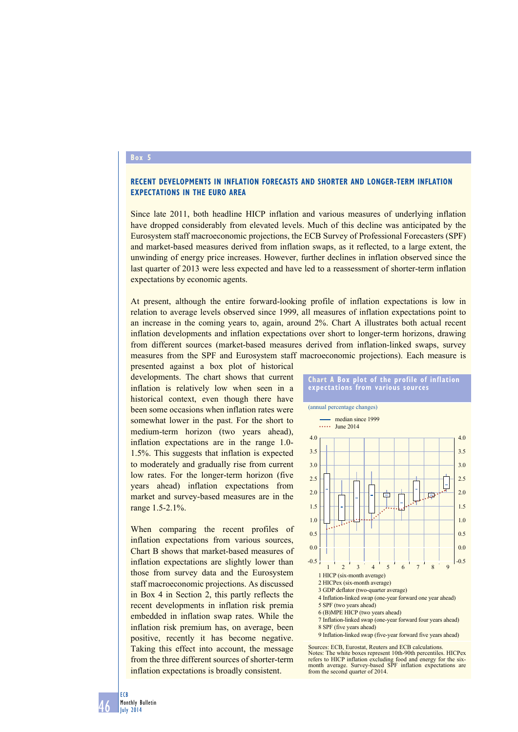## **Box 5**

## **Recent developments in inflation forecasts and shorter and longer-term inflation expectations in the euro area**

Since late 2011, both headline HICP inflation and various measures of underlying inflation have dropped considerably from elevated levels. Much of this decline was anticipated by the Eurosystem staff macroeconomic projections, the ECB Survey of Professional Forecasters (SPF) and market-based measures derived from inflation swaps, as it reflected, to a large extent, the unwinding of energy price increases. However, further declines in inflation observed since the last quarter of 2013 were less expected and have led to a reassessment of shorter-term inflation expectations by economic agents.

At present, although the entire forward-looking profile of inflation expectations is low in relation to average levels observed since 1999, all measures of inflation expectations point to an increase in the coming years to, again, around 2%. Chart A illustrates both actual recent inflation developments and inflation expectations over short to longer-term horizons, drawing from different sources (market-based measures derived from inflation-linked swaps, survey measures from the SPF and Eurosystem staff macroeconomic projections). Each measure is

presented against a box plot of historical developments. The chart shows that current inflation is relatively low when seen in a historical context, even though there have been some occasions when inflation rates were somewhat lower in the past. For the short to medium-term horizon (two years ahead), inflation expectations are in the range 1.0- 1.5%. This suggests that inflation is expected to moderately and gradually rise from current low rates. For the longer-term horizon (five years ahead) inflation expectations from market and survey-based measures are in the range 1.5-2.1%.

When comparing the recent profiles of inflation expectations from various sources, Chart B shows that market-based measures of inflation expectations are slightly lower than those from survey data and the Eurosystem staff macroeconomic projections. As discussed in Box 4 in Section 2, this partly reflects the recent developments in inflation risk premia embedded in inflation swap rates. While the inflation risk premium has, on average, been positive, recently it has become negative. Taking this effect into account, the message from the three different sources of shorter-term inflation expectations is broadly consistent.



**Chart a Box plot of the profile of inflation** 

Sources: ECB, Eurostat, Reuters and ECB calculations. Notes: The white boxes represent 10th-90th percentiles. HICPex refers to HICP inflation excluding food and energy for the sixmonth average. Survey-based SPF inflation expectations are from the second quarter of 2014.

46 ECB Monthly Bulletin July 2014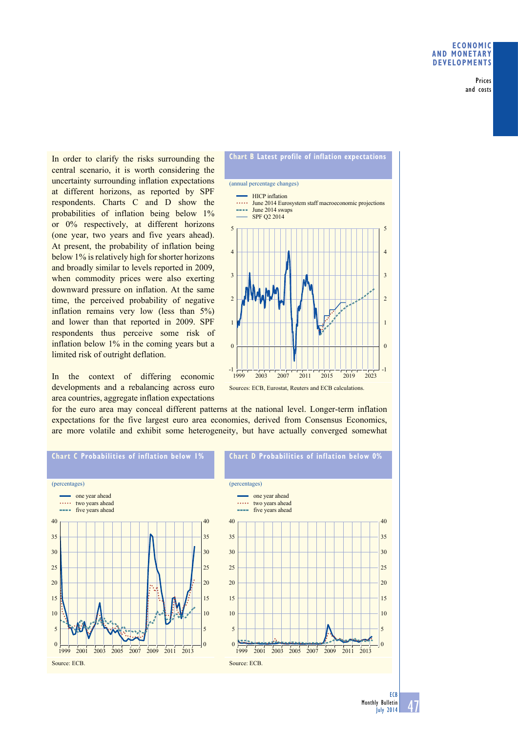Prices and costs

In order to clarify the risks surrounding the central scenario, it is worth considering the uncertainty surrounding inflation expectations at different horizons, as reported by SPF respondents. Charts C and D show the probabilities of inflation being below 1% or 0% respectively, at different horizons (one year, two years and five years ahead). At present, the probability of inflation being below 1% is relatively high for shorter horizons and broadly similar to levels reported in 2009, when commodity prices were also exerting downward pressure on inflation. At the same time, the perceived probability of negative inflation remains very low (less than 5%) and lower than that reported in 2009. SPF respondents thus perceive some risk of inflation below 1% in the coming years but a limited risk of outright deflation.

In the context of differing economic developments and a rebalancing across euro area countries, aggregate inflation expectations



Sources: ECB, Eurostat, Reuters and ECB calculations.

for the euro area may conceal different patterns at the national level. Longer-term inflation expectations for the five largest euro area economies, derived from Consensus Economics, are more volatile and exhibit some heterogeneity, but have actually converged somewhat



<sup>47</sup> Monthly Bulletin July 2014